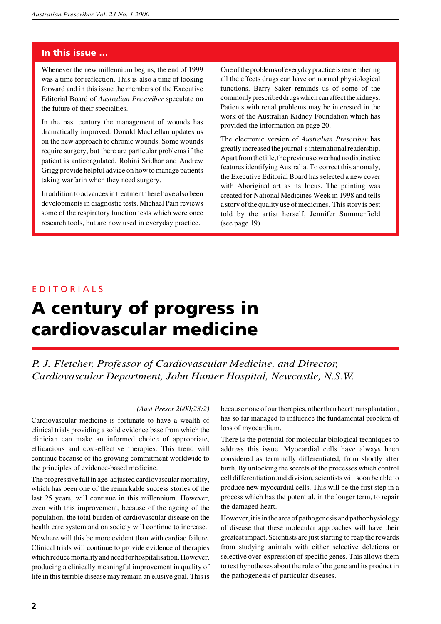### **In this issue …**

Whenever the new millennium begins, the end of 1999 was a time for reflection. This is also a time of looking forward and in this issue the members of the Executive Editorial Board of *Australian Prescriber* speculate on the future of their specialties.

In the past century the management of wounds has dramatically improved. Donald MacLellan updates us on the new approach to chronic wounds. Some wounds require surgery, but there are particular problems if the patient is anticoagulated. Rohini Sridhar and Andrew Grigg provide helpful advice on how to manage patients taking warfarin when they need surgery.

In addition to advances in treatment there have also been developments in diagnostic tests. Michael Pain reviews some of the respiratory function tests which were once research tools, but are now used in everyday practice.

One of the problems of everyday practice is remembering all the effects drugs can have on normal physiological functions. Barry Saker reminds us of some of the commonly prescribed drugs which can affect the kidneys. Patients with renal problems may be interested in the work of the Australian Kidney Foundation which has provided the information on page 20.

The electronic version of *Australian Prescriber* has greatly increased the journal's international readership. Apart from the title, the previous cover had no distinctive features identifying Australia. To correct this anomaly, the Executive Editorial Board has selected a new cover with Aboriginal art as its focus. The painting was created for National Medicines Week in 1998 and tells a story of the quality use of medicines. This story is best told by the artist herself, Jennifer Summerfield (see page 19).

### E D I T O R I A L S

# **A century of progress in cardiovascular medicine**

*P. J. Fletcher, Professor of Cardiovascular Medicine, and Director, Cardiovascular Department, John Hunter Hospital, Newcastle, N.S.W.*

### *(Aust Prescr 2000;23:2)*

Cardiovascular medicine is fortunate to have a wealth of clinical trials providing a solid evidence base from which the clinician can make an informed choice of appropriate, efficacious and cost-effective therapies. This trend will continue because of the growing commitment worldwide to the principles of evidence-based medicine.

The progressive fall in age-adjusted cardiovascular mortality, which has been one of the remarkable success stories of the last 25 years, will continue in this millennium. However, even with this improvement, because of the ageing of the population, the total burden of cardiovascular disease on the health care system and on society will continue to increase.

Nowhere will this be more evident than with cardiac failure. Clinical trials will continue to provide evidence of therapies which reduce mortality and need for hospitalisation. However, producing a clinically meaningful improvement in quality of life in this terrible disease may remain an elusive goal. This is

because none of our therapies, other than heart transplantation, has so far managed to influence the fundamental problem of loss of myocardium.

There is the potential for molecular biological techniques to address this issue. Myocardial cells have always been considered as terminally differentiated, from shortly after birth. By unlocking the secrets of the processes which control cell differentiation and division, scientists will soon be able to produce new myocardial cells. This will be the first step in a process which has the potential, in the longer term, to repair the damaged heart.

However, it is in the area of pathogenesis and pathophysiology of disease that these molecular approaches will have their greatest impact. Scientists are just starting to reap the rewards from studying animals with either selective deletions or selective over-expression of specific genes. This allows them to test hypotheses about the role of the gene and its product in the pathogenesis of particular diseases.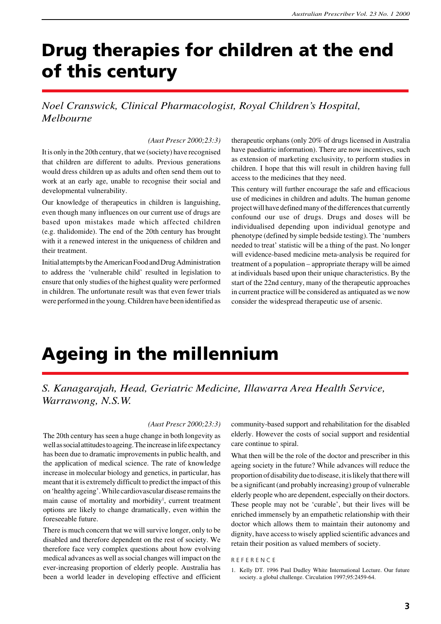# **Drug therapies for children at the end of this century**

### *Noel Cranswick, Clinical Pharmacologist, Royal Children's Hospital, Melbourne*

#### *(Aust Prescr 2000;23:3)*

It is only in the 20th century, that we (society) have recognised that children are different to adults. Previous generations would dress children up as adults and often send them out to work at an early age, unable to recognise their social and developmental vulnerability.

Our knowledge of therapeutics in children is languishing, even though many influences on our current use of drugs are based upon mistakes made which affected children (e.g. thalidomide). The end of the 20th century has brought with it a renewed interest in the uniqueness of children and their treatment.

Initial attempts by the American Food and Drug Administration to address the 'vulnerable child' resulted in legislation to ensure that only studies of the highest quality were performed in children. The unfortunate result was that even fewer trials were performed in the young. Children have been identified as

therapeutic orphans (only 20% of drugs licensed in Australia have paediatric information). There are now incentives, such as extension of marketing exclusivity, to perform studies in children. I hope that this will result in children having full access to the medicines that they need.

This century will further encourage the safe and efficacious use of medicines in children and adults. The human genome project will have defined many of the differences that currently confound our use of drugs. Drugs and doses will be individualised depending upon individual genotype and phenotype (defined by simple bedside testing). The 'numbers needed to treat' statistic will be a thing of the past. No longer will evidence-based medicine meta-analysis be required for treatment of a population – appropriate therapy will be aimed at individuals based upon their unique characteristics. By the start of the 22nd century, many of the therapeutic approaches in current practice will be considered as antiquated as we now consider the widespread therapeutic use of arsenic.

## **Ageing in the millennium**

### *S. Kanagarajah, Head, Geriatric Medicine, Illawarra Area Health Service, Warrawong, N.S.W.*

#### *(Aust Prescr 2000;23:3)*

The 20th century has seen a huge change in both longevity as well as social attitudes to ageing. The increase in life expectancy has been due to dramatic improvements in public health, and the application of medical science. The rate of knowledge increase in molecular biology and genetics, in particular, has meant that it is extremely difficult to predict the impact of this on 'healthy ageing'. While cardiovascular disease remains the main cause of mortality and morbidity<sup>1</sup>, current treatment options are likely to change dramatically, even within the foreseeable future.

There is much concern that we will survive longer, only to be disabled and therefore dependent on the rest of society. We therefore face very complex questions about how evolving medical advances as well as social changes will impact on the ever-increasing proportion of elderly people. Australia has been a world leader in developing effective and efficient community-based support and rehabilitation for the disabled elderly. However the costs of social support and residential care continue to spiral.

What then will be the role of the doctor and prescriber in this ageing society in the future? While advances will reduce the proportion of disability due to disease, it is likely that there will be a significant (and probably increasing) group of vulnerable elderly people who are dependent, especially on their doctors. These people may not be 'curable', but their lives will be enriched immensely by an empathetic relationship with their doctor which allows them to maintain their autonomy and dignity, have access to wisely applied scientific advances and retain their position as valued members of society.

#### R E F E R E N C E

<sup>1.</sup> Kelly DT. 1996 Paul Dudley White International Lecture. Our future society. a global challenge. Circulation 1997;95:2459-64.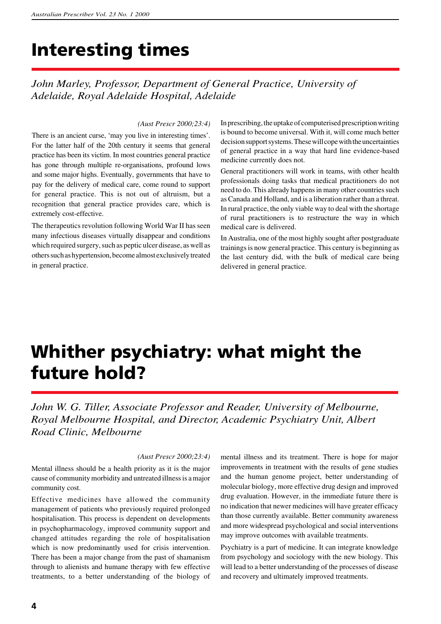# **Interesting times**

*John Marley, Professor, Department of General Practice, University of Adelaide, Royal Adelaide Hospital, Adelaide*

#### *(Aust Prescr 2000;23:4)*

There is an ancient curse, 'may you live in interesting times'. For the latter half of the 20th century it seems that general practice has been its victim. In most countries general practice has gone through multiple re-organisations, profound lows and some major highs. Eventually, governments that have to pay for the delivery of medical care, come round to support for general practice. This is not out of altruism, but a recognition that general practice provides care, which is extremely cost-effective.

The therapeutics revolution following World War II has seen many infectious diseases virtually disappear and conditions which required surgery, such as peptic ulcer disease, as well as others such as hypertension, become almost exclusively treated in general practice.

In prescribing, the uptake of computerised prescription writing is bound to become universal. With it, will come much better decision support systems. These will cope with the uncertainties of general practice in a way that hard line evidence-based medicine currently does not.

General practitioners will work in teams, with other health professionals doing tasks that medical practitioners do not need to do. This already happens in many other countries such as Canada and Holland, and is a liberation rather than a threat. In rural practice, the only viable way to deal with the shortage of rural practitioners is to restructure the way in which medical care is delivered.

In Australia, one of the most highly sought after postgraduate trainings is now general practice. This century is beginning as the last century did, with the bulk of medical care being delivered in general practice.

# **Whither psychiatry: what might the future hold?**

*John W. G. Tiller, Associate Professor and Reader, University of Melbourne, Royal Melbourne Hospital, and Director, Academic Psychiatry Unit, Albert Road Clinic, Melbourne*

#### *(Aust Prescr 2000;23:4)*

Mental illness should be a health priority as it is the major cause of community morbidity and untreated illness is a major community cost.

Effective medicines have allowed the community management of patients who previously required prolonged hospitalisation. This process is dependent on developments in psychopharmacology, improved community support and changed attitudes regarding the role of hospitalisation which is now predominantly used for crisis intervention. There has been a major change from the past of shamanism through to alienists and humane therapy with few effective treatments, to a better understanding of the biology of mental illness and its treatment. There is hope for major improvements in treatment with the results of gene studies and the human genome project, better understanding of molecular biology, more effective drug design and improved drug evaluation. However, in the immediate future there is no indication that newer medicines will have greater efficacy than those currently available. Better community awareness and more widespread psychological and social interventions may improve outcomes with available treatments.

Psychiatry is a part of medicine. It can integrate knowledge from psychology and sociology with the new biology. This will lead to a better understanding of the processes of disease and recovery and ultimately improved treatments.